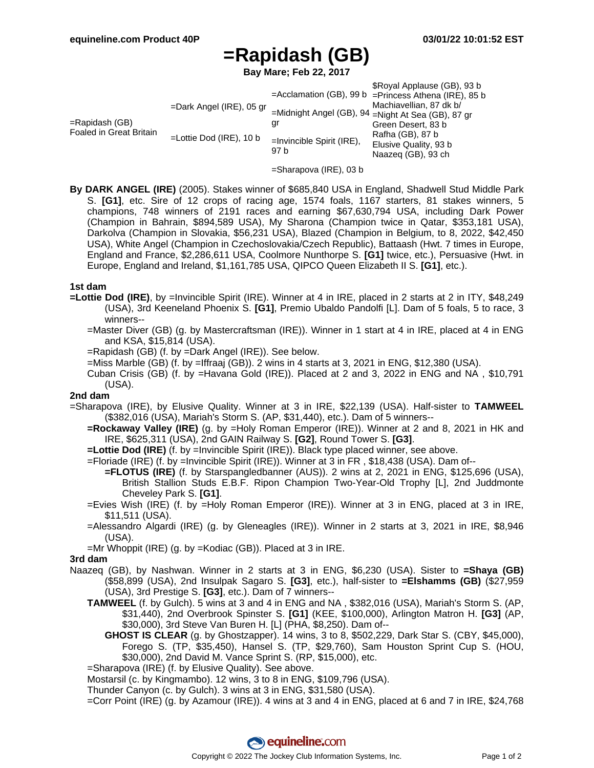# **=Rapidash (GB)**

**Bay Mare; Feb 22, 2017**

| $=$ Rapidash (GB)<br>Foaled in Great Britain | $=$ Dark Angel (IRE), 05 gr<br>$=$ Lottie Dod (IRE), 10 b | gr<br>$=$ Invincible Spirit (IRE), | \$Royal Applause (GB), 93 b<br>$=$ Acclamation (GB), 99 b $=$ Princess Athena (IRE), 85 b<br>Machiavellian, 87 dk b/<br>=Midnight Angel (GB), 94 =Night At Sea (GB), 87 gr<br>Green Desert, 83 b<br>Rafha (GB), 87 b<br>Elusive Quality, 93 b |
|----------------------------------------------|-----------------------------------------------------------|------------------------------------|-----------------------------------------------------------------------------------------------------------------------------------------------------------------------------------------------------------------------------------------------|
|                                              |                                                           | 97 b                               | Naazeg (GB), 93 ch                                                                                                                                                                                                                            |

- =Sharapova (IRE), 03 b
- **By DARK ANGEL (IRE)** (2005). Stakes winner of \$685,840 USA in England, Shadwell Stud Middle Park S. **[G1]**, etc. Sire of 12 crops of racing age, 1574 foals, 1167 starters, 81 stakes winners, 5 champions, 748 winners of 2191 races and earning \$67,630,794 USA, including Dark Power (Champion in Bahrain, \$894,589 USA), My Sharona (Champion twice in Qatar, \$353,181 USA), Darkolva (Champion in Slovakia, \$56,231 USA), Blazed (Champion in Belgium, to 8, 2022, \$42,450 USA), White Angel (Champion in Czechoslovakia/Czech Republic), Battaash (Hwt. 7 times in Europe, England and France, \$2,286,611 USA, Coolmore Nunthorpe S. **[G1]** twice, etc.), Persuasive (Hwt. in Europe, England and Ireland, \$1,161,785 USA, QIPCO Queen Elizabeth II S. **[G1]**, etc.).

#### **1st dam**

- **=Lottie Dod (IRE)**, by =Invincible Spirit (IRE). Winner at 4 in IRE, placed in 2 starts at 2 in ITY, \$48,249 (USA), 3rd Keeneland Phoenix S. **[G1]**, Premio Ubaldo Pandolfi [L]. Dam of 5 foals, 5 to race, 3 winners--
	- =Master Diver (GB) (g. by Mastercraftsman (IRE)). Winner in 1 start at 4 in IRE, placed at 4 in ENG and KSA, \$15,814 (USA).
	- =Rapidash (GB) (f. by =Dark Angel (IRE)). See below.
	- =Miss Marble (GB) (f. by =Iffraaj (GB)). 2 wins in 4 starts at 3, 2021 in ENG, \$12,380 (USA).
	- Cuban Crisis (GB) (f. by =Havana Gold (IRE)). Placed at 2 and 3, 2022 in ENG and NA , \$10,791 (USA).

#### **2nd dam**

- =Sharapova (IRE), by Elusive Quality. Winner at 3 in IRE, \$22,139 (USA). Half-sister to **TAMWEEL** (\$382,016 (USA), Mariah's Storm S. (AP, \$31,440), etc.). Dam of 5 winners--
	- **=Rockaway Valley (IRE)** (g. by =Holy Roman Emperor (IRE)). Winner at 2 and 8, 2021 in HK and IRE, \$625,311 (USA), 2nd GAIN Railway S. **[G2]**, Round Tower S. **[G3]**.
	- **=Lottie Dod (IRE)** (f. by =Invincible Spirit (IRE)). Black type placed winner, see above.
	- =Floriade (IRE) (f. by =Invincible Spirit (IRE)). Winner at 3 in FR , \$18,438 (USA). Dam of--
		- **=FLOTUS (IRE)** (f. by Starspangledbanner (AUS)). 2 wins at 2, 2021 in ENG, \$125,696 (USA), British Stallion Studs E.B.F. Ripon Champion Two-Year-Old Trophy [L], 2nd Juddmonte Cheveley Park S. **[G1]**.
	- =Evies Wish (IRE) (f. by =Holy Roman Emperor (IRE)). Winner at 3 in ENG, placed at 3 in IRE, \$11,511 (USA).
	- =Alessandro Algardi (IRE) (g. by Gleneagles (IRE)). Winner in 2 starts at 3, 2021 in IRE, \$8,946 (USA).
	- =Mr Whoppit (IRE) (g. by =Kodiac (GB)). Placed at 3 in IRE.

## **3rd dam**

- Naazeq (GB), by Nashwan. Winner in 2 starts at 3 in ENG, \$6,230 (USA). Sister to **=Shaya (GB)** (\$58,899 (USA), 2nd Insulpak Sagaro S. **[G3]**, etc.), half-sister to **=Elshamms (GB)** (\$27,959 (USA), 3rd Prestige S. **[G3]**, etc.). Dam of 7 winners--
	- **TAMWEEL** (f. by Gulch). 5 wins at 3 and 4 in ENG and NA , \$382,016 (USA), Mariah's Storm S. (AP, \$31,440), 2nd Overbrook Spinster S. **[G1]** (KEE, \$100,000), Arlington Matron H. **[G3]** (AP, \$30,000), 3rd Steve Van Buren H. [L] (PHA, \$8,250). Dam of--
		- **GHOST IS CLEAR** (g. by Ghostzapper). 14 wins, 3 to 8, \$502,229, Dark Star S. (CBY, \$45,000), Forego S. (TP, \$35,450), Hansel S. (TP, \$29,760), Sam Houston Sprint Cup S. (HOU, \$30,000), 2nd David M. Vance Sprint S. (RP, \$15,000), etc.
	- =Sharapova (IRE) (f. by Elusive Quality). See above.

Mostarsil (c. by Kingmambo). 12 wins, 3 to 8 in ENG, \$109,796 (USA).

- Thunder Canyon (c. by Gulch). 3 wins at 3 in ENG, \$31,580 (USA).
- =Corr Point (IRE) (g. by Azamour (IRE)). 4 wins at 3 and 4 in ENG, placed at 6 and 7 in IRE, \$24,768